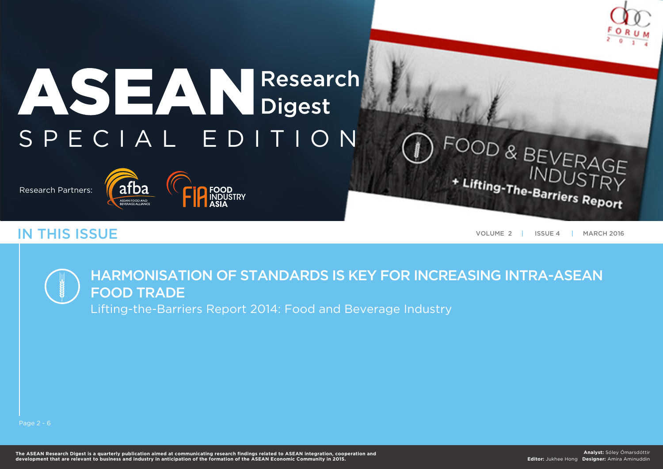

# ASEANResearch S P E C I A L E D I T I O N

Research Partners:



**IN THIS ISSUE** MARCH 2016

OOD & BEVERAGE

+ Lifting-The-Barriers Report

## Harmonisation of standards is key for increasing intra-ASEAN food trade

Lifting-the-Barriers Report 2014: Food and Beverage Industry

Page 2 - 6

**The ASEAN Research Digest is a quarterly publication aimed at communicating research findings related to ASEAN integration, cooperation and development that are relevant to business and industry in anticipation of the formation of the ASEAN Economic Community in 2015.**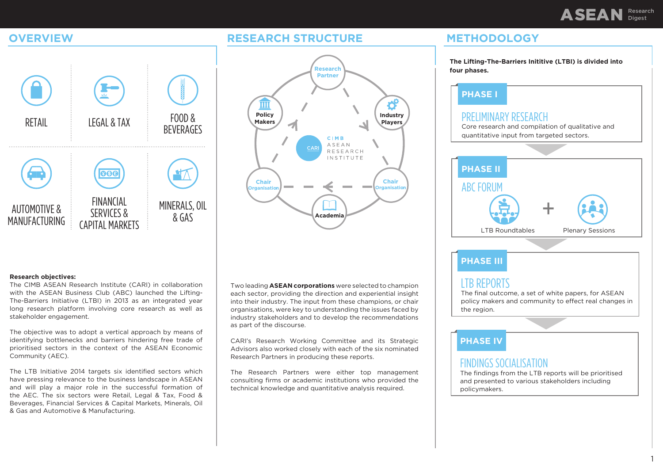## ASEAN Research Digest





#### **Research objectives:**

The CIMB ASEAN Research Institute (CARI) in collaboration with the ASEAN Business Club (ABC) launched the Lifting-The-Barriers Initiative (LTBI) in 2013 as an integrated year long research platform involving core research as well as stakeholder engagement.

The objective was to adopt a vertical approach by means of identifying bottlenecks and barriers hindering free trade of prioritised sectors in the context of the ASEAN Economic Community (AEC).

The LTB Initiative 2014 targets six identified sectors which have pressing relevance to the business landscape in ASEAN and will play a major role in the successful formation of the AEC. The six sectors were Retail, Legal & Tax, Food & Beverages, Financial Services & Capital Markets, Minerals, Oil & Gas and Automotive & Manufacturing.

Two leading **ASEAN corporations** were selected to champion each sector, providing the direction and experiential insight into their industry. The input from these champions, or chair organisations, were key to understanding the issues faced by industry stakeholders and to develop the recommendations as part of the discourse.

CARI's Research Working Committee and its Strategic Advisors also worked closely with each of the six nominated Research Partners in producing these reports.

The Research Partners were either top management consulting firms or academic institutions who provided the technical knowledge and quantitative analysis required.

## **OVERVIEW Research structure methodology**

**The Lifting-The-Barriers Inititive (LTBI) is divided into four phases.**

#### **Phase I**

#### PRELIMINARY RESEARCH

Core research and compilation of qualitative and quantitative input from targeted sectors.



#### **Phase III**

#### LTB Reports

The final outcome, a set of white papers, for ASEAN policy makers and community to effect real changes in the region.

#### **Phase IV**

#### Findings Socialisation

The findings from the LTB reports will be prioritised and presented to various stakeholders including policymakers.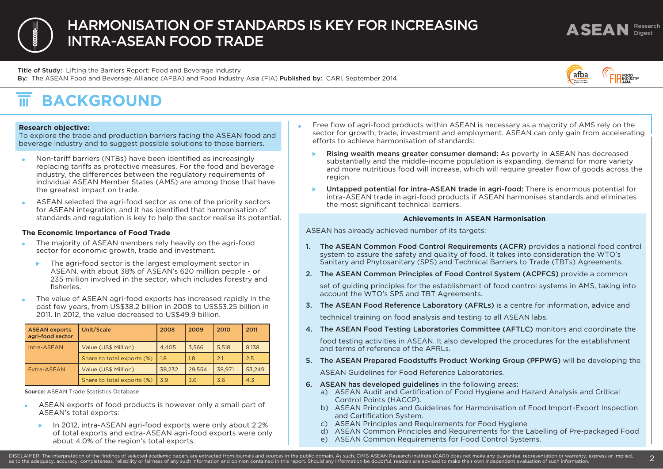## ASEAN Research Harmon isation of standards is key for increasing intra-ASEAN food trade

Title of Study: Lifting the Barriers Report: Food and Beverage Industry By: The ASEAN Food and Beverage Alliance (AFBA) and Food Industry Asia (FIA) Published by: CARI, September 2014



#### $\overline{\overline{\mathbf{m}}}$ **BACKGROUND**

#### **Research objective:**

To explore the trade and production barriers facing the ASEAN food and beverage industry and to suggest possible solutions to those barriers.

- Non-tariff barriers (NTBs) have been identified as increasingly replacing tariffs as protective measures. For the food and beverage industry, the differences between the regulatory requirements of individual ASEAN Member States (AMS) are among those that have the greatest impact on trade.
- ASEAN selected the agri-food sector as one of the priority sectors  $\bullet$ for ASEAN integration, and it has identified that harmonisation of standards and regulation is key to help the sector realise its potential.

#### **The Economic Importance of Food Trade**

- The majority of ASEAN members rely heavily on the agri-food sector for economic growth, trade and investment.
	- ▶ The agri-food sector is the largest employment sector in ASEAN, with about 38% of ASEAN's 620 million people - or 235 million involved in the sector, which includes forestry and fisheries.
- The value of ASEAN agri-food exports has increased rapidly in the past few years, from US\$38.2 billion in 2008 to US\$53.25 billion in 2011. In 2012, the value decreased to US\$49.9 billion.

| <b>ASEAN exports</b><br>agri-food sector | Unit/Scale                 | 2008   | 2009   | 2010   | 2011   |
|------------------------------------------|----------------------------|--------|--------|--------|--------|
| Intra-ASEAN                              | Value (US\$ Million)       | 4.405  | 3.566  | 5.518  | 8.138  |
|                                          | Share to total exports (%) | 1.8    | 1.8    | 2.1    | 2.5    |
| Extra-ASEAN                              | Value (US\$ Million)       | 38.232 | 29.554 | 38.971 | 53.249 |
|                                          | Share to total exports (%) | 3.9    | 3.6    | 3.6    | 4.3    |

Source: ASEAN Trade Statistics Database

- ASEAN exports of food products is however only a small part of ASEAN's total exports:
	- In 2012, intra-ASEAN agri-food exports were only about 2.2%  $\mathbf{b}$ of total exports and extra-ASEAN agri-food exports were only about 4.0% of the region's total exports.
- Free flow of agri-food products within ASEAN is necessary as a majority of AMS rely on the sector for growth, trade, investment and employment. ASEAN can only gain from accelerating efforts to achieve harmonisation of standards:
	- Rising wealth means greater consumer demand: As poverty in ASEAN has decreased ¥. substantially and the middle-income population is expanding, demand for more variety and more nutritious food will increase, which will require greater flow of goods across the region.
	- Untapped potential for intra-ASEAN trade in agri-food: There is enormous potential for intra-ASEAN trade in agri-food products if ASEAN harmonises standards and eliminates the most significant technical barriers.

#### **Achievements in ASEAN Harmonisation**

ASEAN has already achieved number of its targets:

- 1. The ASEAN Common Food Control Requirements (ACFR) provides a national food control system to assure the safety and quality of food. It takes into consideration the WTO's Sanitary and Phytosanitary (SPS) and Technical Barriers to Trade (TBTs) Agreements.
- 2. The ASEAN Common Principles of Food Control System (ACPFCS) provide a common

set of guiding principles for the establishment of food control systems in AMS, taking into account the WTO's SPS and TBT Agreements.

- 3. The ASEAN Food Reference Laboratory (AFRLs) is a centre for information, advice and technical training on food analysis and testing to all ASEAN labs.
- 4. The ASEAN Food Testing Laboratories Committee (AFTLC) monitors and coordinate the food testing activities in ASEAN. It also developed the procedures for the establishment

and terms of reference of the AFRLs.

5. The ASEAN Prepared Foodstuffs Product Working Group (PFPWG) will be developing the

ASEAN Guidelines for Food Reference Laboratories.

- 6. ASEAN has developed guidelines in the following areas:
	- a) ASEAN Audit and Certification of Food Hygiene and Hazard Analysis and Critical Control Points (HACCP).
	- b) ASEAN Principles and Guidelines for Harmonisation of Food Import-Export Inspection and Certification System.
	- c) ASEAN Principles and Requirements for Food Hygiene
	- d) ASEAN Common Principles and Requirements for the Labelling of Pre-packaged Food
	- e) ASEAN Common Requirements for Food Control Systems.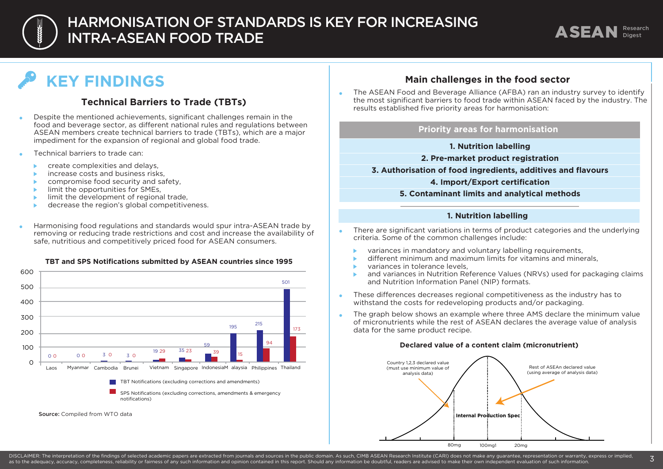

## $\bigcap$  HARMONISATION OF STANDARDS IS KEY FOR INCREASING intra-ASEAN food trade



# **KEY FINDINGS**

### **Technical Barriers to Trade (TBTs)**

- Despite the mentioned achievements, significant challenges remain in the food and beverage sector, as different national rules and regulations between ASEAN members create technical barriers to trade (TBTs), which are a major impediment for the expansion of regional and global food trade.
- Technical barriers to trade can:
	- create complexities and delays,
	- increase costs and business risks,
	- compromise food security and safety,
	- limit the opportunities for SMEs,
	- limit the development of regional trade,
	- decrease the region's global competitiveness.
- Harmonising food regulations and standards would spur intra-ASEAN trade by removing or reducing trade restrictions and cost and increase the availability of safe, nutritious and competitively priced food for ASEAN consumers.

#### **TBT and SPS Notifications submitted by ASEAN countries since 1995**



#### **Main challenges in the food sector**

 The ASEAN Food and Beverage Alliance (AFBA) ran an industry survey to identify the most significant barriers to food trade within ASEAN faced by the industry. The results established five priority areas for harmonisation:

#### **Priority areas for harmonisation**

#### **1. Nutrition labelling**

#### **2. Pre-market product registration**

**3. Authorisation of food ingredients, additives and flavours**

#### **4. Import/Export certification**

#### **5. Contaminant limits and analytical methods**

#### **1. Nutrition labelling**

- There are significant variations in terms of product categories and the underlying criteria. Some of the common challenges include:
	- variances in mandatory and voluntary labelling requirements,
	- different minimum and maximum limits for vitamins and minerals,
	- variances in tolerance levels,
	- and variances in Nutrition Reference Values (NRVs) used for packaging claims and Nutrition Information Panel (NIP) formats.
- These differences decreases regional competitiveness as the industry has to withstand the costs for redeveloping products and/or packaging.
- The graph below shows an example where three AMS declare the minimum value of micronutrients while the rest of ASEAN declares the average value of analysis data for the same product recipe.

#### **Declared value of a content claim (micronutrient)**



DISCLAIMER: The interpretation of the findings of selected academic papers are extracted from iournals and sources in the public domain. As such, CIMB ASEAN Research Institute (CARI) does not make any quarantee, representa DISCLAIMER: The interpretation of the findings of selected academic papers are extracted from journals and sources in the public domain. As such, CIMB ASEAN Research Institute (CARI) does not make any guarantee, representa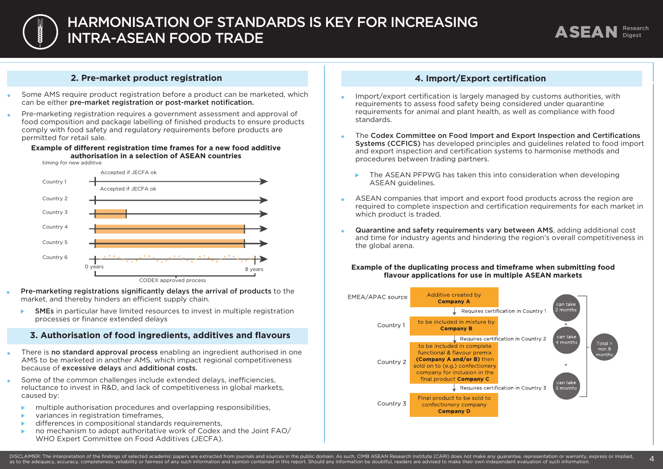

#### **2. Pre-market product registration**

- Some AMS require product registration before a product can be marketed, which can be either pre-market registration or post-market notification.
- Pre-marketing registration requires a government assessment and approval of food composition and package labelling of finished products to ensure products comply with food safety and regulatory requirements before products are permitted for retail sale.

#### **Example of different registration time frames for a new food additive authorisation in a selection of ASEAN countries**

timing for new additive



Pre-marketing registrations significantly delays the arrival of products to the market, and thereby hinders an efficient supply chain.

SMEs in particular have limited resources to invest in multiple registration  $\mathbf{b}$ processes or finance extended delays

#### **3. Authorisation of food ingredients, additives and flavours**

- There is no standard approval process enabling an ingredient authorised in one AMS to be marketed in another AMS, which impact regional competitiveness because of excessive delays and additional costs.
- Some of the common challenges include extended delays, inefficiencies, reluctance to invest in R&D, and lack of competitiveness in global markets, caused by:
	- multiple authorisation procedures and overlapping responsibilities,
	- variances in registration timeframes,
	- differences in compositional standards requirements,
	- no mechanism to adopt authoritative work of Codex and the Joint FAO/ WHO Expert Committee on Food Additives (JECFA).

#### **4. Import/Export certification**

- Import/export certification is largely managed by customs authorities, with requirements to assess food safety being considered under quarantine requirements for animal and plant health, as well as compliance with food standards.
- The Codex Committee on Food Import and Export Inspection and Certifications Systems (CCFICS) has developed principles and guidelines related to food import and export inspection and certification systems to harmonise methods and procedures between trading partners.
	- The ASEAN PFPWG has taken this into consideration when developing ASEAN quidelines.
- ASEAN companies that import and export food products across the region are  $\ddot{\phantom{a}}$ required to complete inspection and certification requirements for each market in which product is traded.
- Quarantine and safety requirements vary between AMS, adding additional cost  $\bullet$ and time for industry agents and hindering the region's overall competitiveness in the global arena.

#### **Example of the duplicating process and timeframe when submitting food flavour applications for use in multiple ASEAN markets**

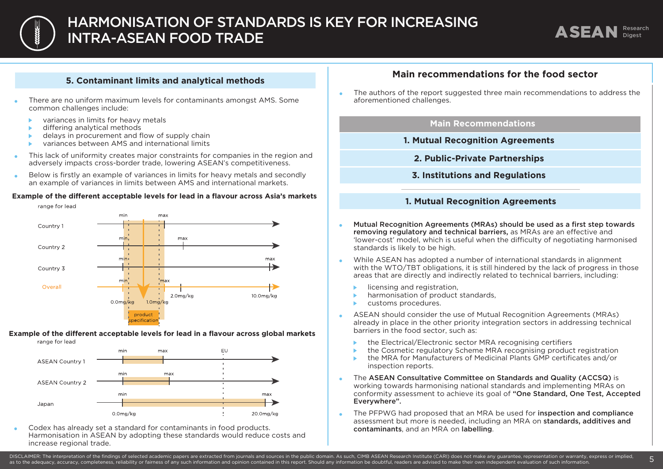

#### **5. Contaminant limits and analytical methods**

- There are no uniform maximum levels for contaminants amongst AMS. Some common challenges include:
	- variances in limits for heavy metals  $\mathbf{h}$
	- differing analytical methods ь
	- delays in procurement and flow of supply chain ь
	- variances between AMS and international limits ь
- This lack of uniformity creates major constraints for companies in the region and adversely impacts cross-border trade, lowering ASEAN's competitiveness.
- Below is firstly an example of variances in limits for heavy metals and secondly  $\bullet$ an example of variances in limits between AMS and international markets.









 Codex has already set a standard for contaminants in food products. Harmonisation in ASEAN by adopting these standards would reduce costs and increase regional trade.

### **Main recommendations for the food sector**

 The authors of the report suggested three main recommendations to address the aforementioned challenges.

#### **Main Recommendations**

- **1. Mutual Recognition Agreements**
	- **2. Public-Private Partnerships**
	- **3. Institutions and Regulations**

#### **1. Mutual Recognition Agreements**

- Mutual Recognition Agreements (MRAs) should be used as a first step towards removing regulatory and technical barriers, as MRAs are an effective and 'lower-cost' model, which is useful when the difficulty of negotiating harmonised standards is likely to be high.
- While ASEAN has adopted a number of international standards in alignment  $\bullet$ with the WTO/TBT obligations, it is still hindered by the lack of progress in those areas that are directly and indirectly related to technical barriers, including:
	- licensing and registration,
	- harmonisation of product standards,
	- customs procedures. ь
- ASEAN should consider the use of Mutual Recognition Agreements (MRAs)  $\bullet$ already in place in the other priority integration sectors in addressing technical barriers in the food sector, such as:
	- the Electrical/Electronic sector MRA recognising certifiers
	- the Cosmetic regulatory Scheme MRA recognising product registration
	- the MRA for Manufacturers of Medicinal Plants GMP certificates and/or inspection reports.
- The ASEAN Consultative Committee on Standards and Quality (ACCSQ) is working towards harmonising national standards and implementing MRAs on conformity assessment to achieve its goal of "One Standard, One Test, Accepted Everywhere".
- The PFPWG had proposed that an MRA be used for inspection and compliance assessment but more is needed, including an MRA on standards, additives and contaminants, and an MRA on labelling.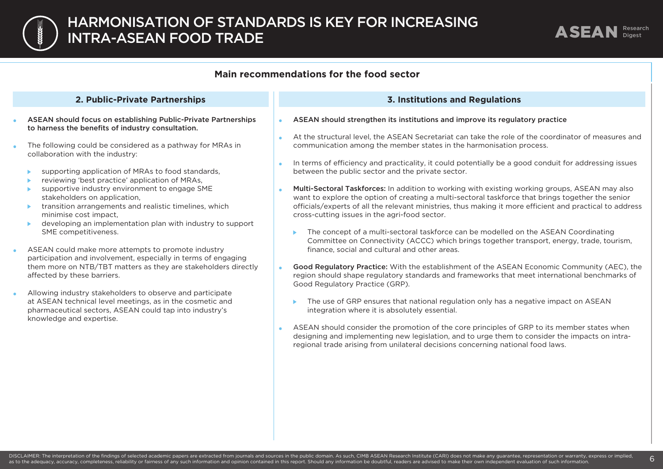



#### **Main recommendations for the food sector**

#### **2. Public-Private Partnerships**

- ASEAN should focus on establishing Public-Private Partnerships to harness the benefits of industry consultation.
- The following could be considered as a pathway for MRAs in collaboration with the industry:
	- supporting application of MRAs to food standards,
	- reviewing 'best practice' application of MRAs,
	- supportive industry environment to engage SME stakeholders on application,
	- transition arrangements and realistic timelines, which minimise cost impact,
	- developing an implementation plan with industry to support  $\blacktriangleright$  . SME competitiveness.
- ASEAN could make more attempts to promote industry  $\bullet$ participation and involvement, especially in terms of engaging them more on NTB/TBT matters as they are stakeholders directly affected by these barriers.
- Allowing industry stakeholders to observe and participate  $\bullet$ at ASEAN technical level meetings, as in the cosmetic and pharmaceutical sectors, ASEAN could tap into industry's knowledge and expertise.

#### **3. Institutions and Regulations**

- ASEAN should strengthen its institutions and improve its regulatory practice
- At the structural level, the ASEAN Secretariat can take the role of the coordinator of measures and communication among the member states in the harmonisation process.
- $\Delta$ In terms of efficiency and practicality, it could potentially be a good conduit for addressing issues between the public sector and the private sector.
- Multi-Sectoral Taskforces: In addition to working with existing working groups, ASEAN may also want to explore the option of creating a multi-sectoral taskforce that brings together the senior officials/experts of all the relevant ministries, thus making it more efficient and practical to address cross-cutting issues in the agri-food sector.
	- ▶ The concept of a multi-sectoral taskforce can be modelled on the ASEAN Coordinating Committee on Connectivity (ACCC) which brings together transport, energy, trade, tourism, finance, social and cultural and other areas.
- Good Regulatory Practice: With the establishment of the ASEAN Economic Community (AEC), the region should shape regulatory standards and frameworks that meet international benchmarks of Good Regulatory Practice (GRP).
	- ▶ The use of GRP ensures that national regulation only has a negative impact on ASEAN integration where it is absolutely essential.
- ASEAN should consider the promotion of the core principles of GRP to its member states when designing and implementing new legislation, and to urge them to consider the impacts on intraregional trade arising from unilateral decisions concerning national food laws.